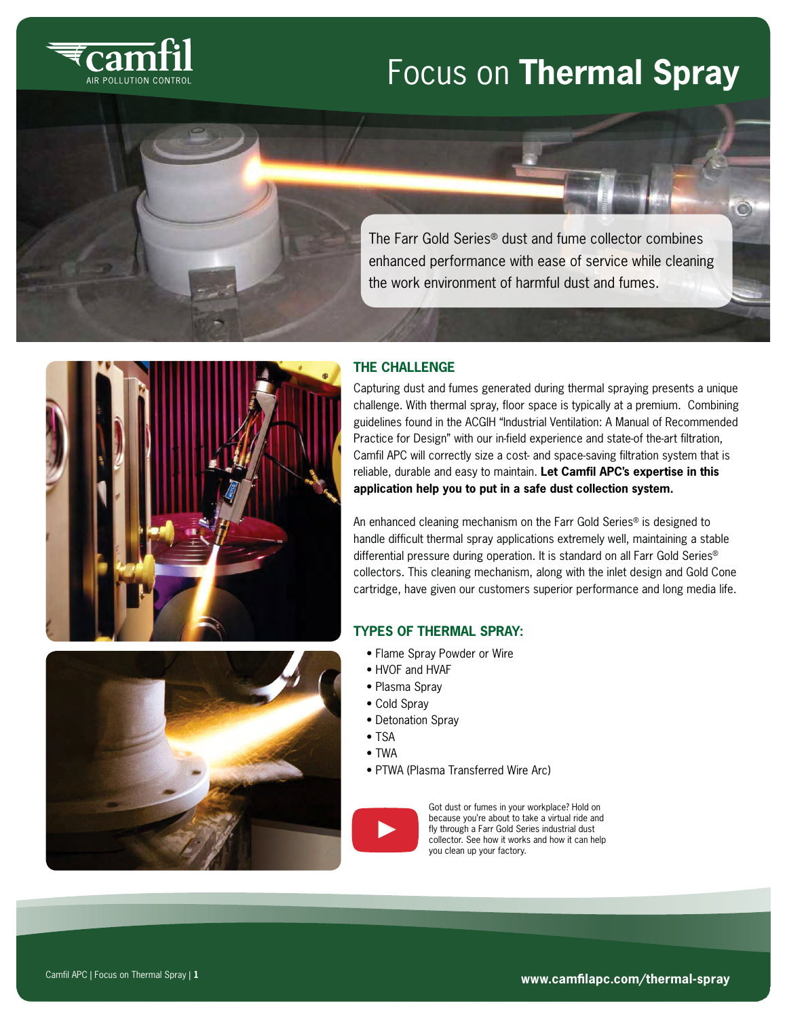

# Focus on **Thermal Spray**

The Farr Gold Series® dust and fume collector combines enhanced performance with ease of service while cleaning the work environment of harmful dust and fumes.



# **THE CHALLENGE**

Capturing dust and fumes generated during thermal spraying presents a unique challenge. With thermal spray, floor space is typically at a premium. Combining guidelines found in the ACGIH "Industrial Ventilation: A Manual of Recommended Practice for Design" with our in-field experience and state-of the-art filtration, Camfil APC will correctly size a cost- and space-saving filtration system that is reliable, durable and easy to maintain. **Let Camfil APC's expertise in this application help you to put in a safe dust collection system.**

An enhanced cleaning mechanism on the Farr Gold Series® is designed to handle difficult thermal spray applications extremely well, maintaining a stable differential pressure during operation. It is standard on all Farr Gold Series® collectors. This cleaning mechanism, along with the inlet design and Gold Cone cartridge, have given our customers superior performance and long media life.

## **TYPES OF THERMAL SPRAY:**

- Flame Spray Powder or Wire
- HVOF and HVAF
- Plasma Spray
- Cold Spray
- Detonation Spray
- TSA
- TWA
- PTWA (Plasma Transferred Wire Arc)



Got dust or fumes in your workplace? Hold on because you're about to take a virtual ride and fly through a Farr Gold Series industrial dust collector. See how it works and how it can help you clean up your factory.